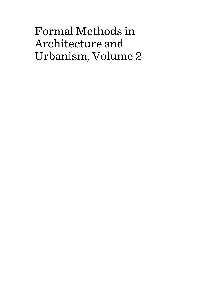# Formal Methods in Architecture and Urbanism, Volume 2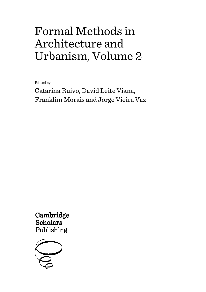# Formal Methods in Architecture and Urbanism, Volume 2

Edited by

Catarina Ruivo, David Leite Viana, Franklim Morais and Jorge Vieira Vaz

Cambridge **Scholars** Publishing

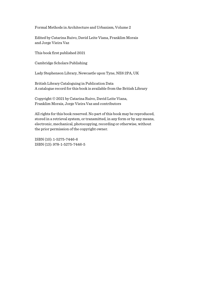Formal Methods in Architecture and Urbanism, Volume 2

Edited by Catarina Ruivo, David Leite Viana, Franklim Morais and Jorge Vieira Vaz

This book first published 2021

Cambridge Scholars Publishing

Lady Stephenson Library, Newcastle upon Tyne, NE6 2PA, UK

British Library Cataloguing in Publication Data A catalogue record for this book is available from the British Library

Copyright © 2021 by Catarina Ruivo, David Leite Viana, Franklim Morais, Jorge Vieira Vaz and contributors

All rights for this book reserved. No part of this book may be reproduced, stored in a retrieval system, or transmitted, in any form or by any means, electronic, mechanical, photocopying, recording or otherwise, without the prior permission of the copyright owner.

ISBN (10): 1-5275-7446-6 ISBN (13): 978-1-5275-7446-5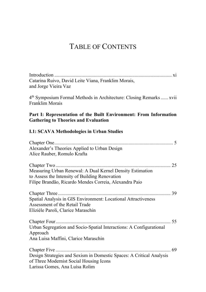# TABLE OF CONTENTS

| Catarina Ruivo, David Leite Viana, Franklim Morais,<br>and Jorge Vieira Vaz                                                                                                 |
|-----------------------------------------------------------------------------------------------------------------------------------------------------------------------------|
| 4 <sup>th</sup> Symposium Formal Methods in Architecture: Closing Remarks  xvii<br>Franklim Morais                                                                          |
| Part I: Representation of the Built Environment: From Information<br><b>Gathering to Theories and Evaluation</b>                                                            |
| I.1: SCAVA Methodologies in Urban Studies                                                                                                                                   |
| Alexander's Theories Applied to Urban Design<br>Alice Rauber, Romulo Krafta                                                                                                 |
| 25<br>Measuring Urban Renewal: A Dual Kernel Density Estimation<br>to Assess the Intensity of Building Renovation<br>Filipe Brandão, Ricardo Mendes Correia, Alexandra Paio |
| Spatial Analysis in GIS Environment: Locational Attractiveness<br>Assessment of the Retail Trade<br>Eliziéle Paroli, Clarice Maraschin                                      |
| Urban Segregation and Socio-Spatial Interactions: A Configurational<br>Approach<br>Ana Luisa Maffini, Clarice Maraschin                                                     |
| $\ldots$ 69<br>Design Strategies and Sexism in Domestic Spaces: A Critical Analysis<br>of Three Modernist Social Housing Icons<br>Larissa Gomes, Ana Luísa Rolim            |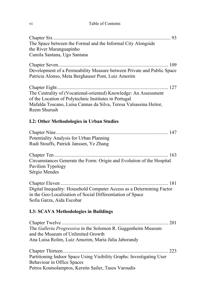### vi Table of Contents

| The Space between the Formal and the Informal City Alongside<br>the River Maranguapinho<br>Camila Santana, Ugo Santana                                                                                         |
|----------------------------------------------------------------------------------------------------------------------------------------------------------------------------------------------------------------|
| Development of a Permeability Measure between Private and Public Space<br>Patricia Alonso, Meta Berghauser Pont, Luiz Amorim                                                                                   |
| The Centrality of (Vocational-oriented) Knowledge: An Assessment<br>of the Location of Polytechnic Institutes in Portugal<br>Mafalda Toscano, Luísa Cannas da Silva, Teresa Valsassina Heitor,<br>Reem Shurush |
| I.2: Other Methodologies in Urban Studies                                                                                                                                                                      |
| Potentiality Analysis for Urban Planning<br>Rudi Stouffs, Patrick Janssen, Ye Zhang                                                                                                                            |
| Circumstances Generate the Form: Origin and Evolution of the Hospital<br>Pavilion Typology<br>Sérgio Mendes                                                                                                    |
| Digital Inequality: Household Computer Access as a Determining Factor<br>in the Geo-Localization of Social Differentiation of Space<br>Sofia Garza, Aida Escobar                                               |
| <b>I.3: SCAVA Methodologies in Buildings</b>                                                                                                                                                                   |
| The Galleria Progressiva in the Solomon R. Guggenheim Museum<br>and the Museum of Unlimited Growth<br>Ana Luisa Rolim, Luiz Amorim, Maria Júlia Jaborandy                                                      |
| Partitioning Indoor Space Using Visibility Graphs: Investigating User<br>Behaviour in Office Spaces<br>Petros Koutsolampros, Kerstin Sailer, Tasos Varoudis                                                    |
|                                                                                                                                                                                                                |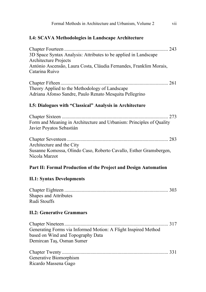#### **I.4: SCAVA Methodologies in Landscape Architecture**

Chapter Fourteen .................................................................................... 243 3D Space Syntax Analysis: Attributes to be applied in Landscape Architecture Projects António Ascensão, Laura Costa, Cláudia Fernandes, Franklim Morais, Catarina Ruivo

Chapter Fifteen ....................................................................................... 261 Theory Applied to the Methodology of Landscape Adriana Afonso Sandre, Paulo Renato Mesquita Pellegrino

#### **I.5: Dialogues with "Classical" Analysis in Architecture**

| Form and Meaning in Architecture and Urbanism: Principles of Quality |
|----------------------------------------------------------------------|
|                                                                      |
|                                                                      |

| Architecture and the City                                          |  |
|--------------------------------------------------------------------|--|
| Susanne Komossa, Olindo Caso, Roberto Cavallo, Esther Gramsbergen, |  |
| Nicola Marzot                                                      |  |

### **Part II: Formal Production of the Project and Design Automation**

### **II.1: Syntax Developments**

| Shapes and Attributes |  |
|-----------------------|--|
| Rudi Stouffs          |  |

### **II.2: Generative Grammars**

Chapter Nineteen.................................................................................... 317 Generating Forms via Informed Motion: A Flight Inspired Method based on Wind and Topography Data Demircan Taş, Osman Sumer

| Generative Biomorphism |  |
|------------------------|--|
| Ricardo Massena Gago   |  |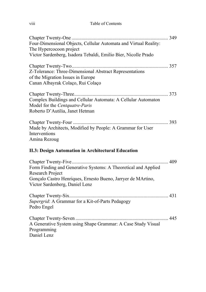viii Table of Contents

| Four-Dimensional Objects, Cellular Automata and Virtual Reality:<br>The Hypercocoon project<br>Victor Sardenberg, Isadora Tebaldi, Emilio Bier, Nicolle Prado                               |  |
|---------------------------------------------------------------------------------------------------------------------------------------------------------------------------------------------|--|
| Z-Tolerance: Three-Dimensional Abstract Representations<br>of the Migration Issues in Europe<br>Canan Albayrak Colaço, Rui Colaço                                                           |  |
| Complex Buildings and Cellular Automata: A Cellular Automaton<br>Model for the Centquatre-Paris<br>Roberto D'Autilia, Janet Hetman                                                          |  |
| Made by Architects, Modified by People: A Grammar for User<br>Interventions<br>Amina Rezoug                                                                                                 |  |
| <b>II.3: Design Automation in Architectural Education</b>                                                                                                                                   |  |
| 409<br>Form Finding and Generative Systems: A Theoretical and Applied<br>Research Project<br>Gonçalo Castro Henriques, Ernesto Bueno, Jarryer de MArtino,<br>Victor Sardenberg, Daniel Lenz |  |
| Supergrid: A Grammar for a Kit-of-Parts Pedagogy<br>Pedro Engel                                                                                                                             |  |
|                                                                                                                                                                                             |  |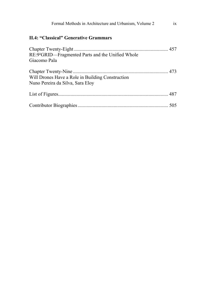| Formal Methods in Architecture and Urbanism, Volume 2                                | ix |
|--------------------------------------------------------------------------------------|----|
| <b>II.4: "Classical" Generative Grammars</b>                                         |    |
| RE:92GRID-Fragmented Parts and the Unified Whole<br>Giacomo Pala                     |    |
| Will Drones Have a Role in Building Construction<br>Nuno Pereira da Silva, Sara Eloy |    |
|                                                                                      |    |
|                                                                                      |    |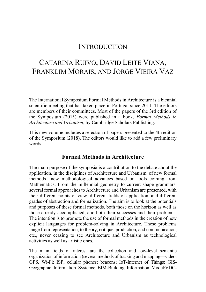### **INTRODUCTION**

# CATARINA RUIVO, DAVID LEITE VIANA, FRANKLIM MORAIS, AND JORGE VIEIRA VAZ

The International Symposium Formal Methods in Architecture is a biennial scientific meeting that has taken place in Portugal since 2011. The editors are members of their committees. Most of the papers of the 3rd edition of the Symposium (2015) were published in a book, *Formal Methods in Architecture and Urbanism*, by Cambridge Scholars Publishing.

This new volume includes a selection of papers presented to the 4th edition of the Symposium (2018). The editors would like to add a few preliminary words.

### **Formal Methods in Architecture**

The main purpose of the symposia is a contribution to the debate about the application, in the disciplines of Architecture and Urbanism, of new formal methods––new methodological advances based on tools coming from Mathematics. From the millennial geometry to current shape grammars, several formal approaches to Architecture and Urbanism are presented, with their different points of view, different fields of application, and different grades of abstraction and formalization. The aim is to look at the potentials and purposes of these formal methods, both those on the horizon as well as those already accomplished, and both their successes and their problems. The intention is to promote the use of formal methods in the creation of new explicit languages for problem-solving in Architecture. These problems range from representation, to theory, critique, production, and communication, etc., never ceasing to see Architecture and Urbanism as technological activities as well as artistic ones.

The main fields of interest are the collection and low-level semantic organization of information (several methods of tracking and mapping––video; GPS, Wi-Fi; ISP; cellular phones; beacons; IoT-Internet of Things; GIS-Geographic Information Systems; BIM-Building Information Model/VDC-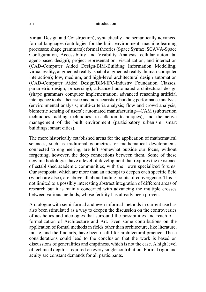Virtual Design and Construction); syntactically and semantically advanced formal languages (ontologies for the built environment; machine learning processes; shape grammars); formal theories (Space Syntax; SCAVA-Space Configuration, Accessibility and Visibility Analysis; cellular automata; agent-based design); project representation, visualization, and interaction (CAD-Computer Aided Design/BIM-Building Information Modelling; virtual reality; augmented reality; spatial augmented reality; human-computer interaction); low, medium, and high-level architectural design automation (CAD-Computer Aided Design/BIM/IFC-Industry Foundation Classes; parametric design; processing); advanced automated architectural design (shape grammars computer implementation; advanced reasoning artificial intelligence tools––heuristic and non-heuristic); building performance analysis (environmental analysis; multi-criteria analysis; flow and crowd analysis; biometric sensing of users); automated manufacturing––CAM (subtraction techniques; adding techniques; tessellation techniques); and the active management of the built environment (participatory urbanism; smart buildings; smart cities).

The more historically established areas for the application of mathematical sciences, such as traditional geometries or mathematical developments connected to engineering, are left somewhat outside our focus, without forgetting, however, the deep connections between them. Some of these new methodologies have a level of development that requires the existence of established academic communities, with their own specialized forums. Our symposia, which are more than an attempt to deepen each specific field (which are also), are above all about finding points of convergence. This is not limited to a possibly interesting abstract integration of different areas of research but it is mainly concerned with advancing the multiple crosses between various methods, whose fertility has already been proven.

A dialogue with semi-formal and even informal methods in current use has also been stimulated as a way to deepen the discussion on the controversies of aesthetics and ideologies that surround the possibilities and reach of a formalization of Architecture and Art. Even some contributions on the application of formal methods in fields other than architecture, like literature, music, and the fine arts, have been useful for architectural practice. These considerations could lead to the conclusion that the work is based on discussions of generalities and emptiness, which is not the case. A high level of technical depth is required on every single contribution. Formal rigor and acuity are constant demands for all participants.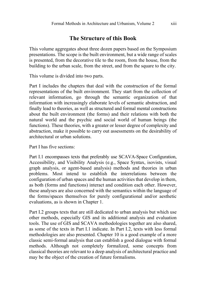### **The Structure of this Book**

This volume aggregates about three dozen papers based on the Symposium presentations. The scope is the built environment, but a wide range of scales is presented, from the decorative tile to the room, from the house, from the building to the urban scale, from the street, and from the square to the city.

This volume is divided into two parts.

Part I includes the chapters that deal with the construction of the formal representations of the built environment. They start from the collection of relevant information, go through the semantic organization of that information with increasingly elaborate levels of semantic abstraction, and finally lead to theories, as well as structured and formal mental constructions about the built environment (the forms) and their relations with both the natural world and the psychic and social world of human beings (the functions). These theories, with a greater or lesser degree of complexity and abstraction, make it possible to carry out assessments on the desirability of architectural or urban solutions.

Part I has five sections:

Part I.1 encompasses texts that preferably use SCAVA-Space Configuration, Accessibility, and Visibility Analysis (e.g., Space Syntax, isovists, visual graph analysis, or agent-based analysis) methods and theories in urban problems. Most intend to establish the interrelations between the configuration of urban spaces and the human activities that develop in them, as both (forms and functions) interact and condition each other. However, these analyses are also concerned with the semantics within the language of the forms/spaces themselves for purely configurational and/or aesthetic evaluations, as is shown in Chapter 1.

Part I.2 groups texts that are still dedicated to urban analysis but which use other methods, especially GIS and its additional analysis and evaluation tools. The use of GIS and SCAVA methodologies together are also shared, as some of the texts in Part I.1 indicate. In Part I.2, texts with less formal methodologies are also presented. Chapter 10 is a good example of a more classic semi-formal analysis that can establish a good dialogue with formal methods. Although not completely formalized, some concepts from classical theories are relevant to a deep analysis of architectural practice and may be the object of the creation of future formalisms.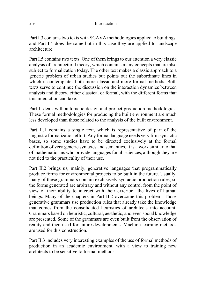Part I.3 contains two texts with SCAVA methodologies applied to buildings, and Part I.4 does the same but in this case they are applied to landscape architecture.

Part I.5 contains two texts. One of them brings to our attention a very classic analysis of architectural theory, which contains many concepts that are also subject to formalization today. The other text makes a classic approach to a generic problem of urban studies but points out the subordinate lines in which it contemplates both more classic and more formal methods. Both texts serve to continue the discussion on the interaction dynamics between analysis and theory, either classical or formal, with the different forms that this interaction can take.

Part II deals with automatic design and project production methodologies. These formal methodologies for producing the built environment are much less developed than those related to the analysis of the built environment.

Part II.1 contains a single text, which is representative of part of the linguistic formalization effort. Any formal language needs very firm syntactic bases, so some studies have to be directed exclusively at the formal definition of very generic syntaxes and semantics. It is a work similar to that of mathematicians who provide languages for all sciences, although they are not tied to the practicality of their use.

Part II.2 brings us, mainly, generative languages that programmatically produce forms for environmental projects to be built in the future. Usually, many of these grammars contain exclusively syntactic production rules, so the forms generated are arbitrary and without any control from the point of view of their ability to interact with their exterior––the lives of human beings. Many of the chapters in Part II.2 overcome this problem. Those generative grammars use production rules that already take the knowledge that comes from the consolidated heuristics of architects into account. Grammars based on heuristic, cultural, aesthetic, and even social knowledge are presented. Some of the grammars are even built from the observation of reality and then used for future developments. Machine learning methods are used for this construction.

Part II.3 includes very interesting examples of the use of formal methods of production in an academic environment, with a view to training new architects to be sensitive to formal methods.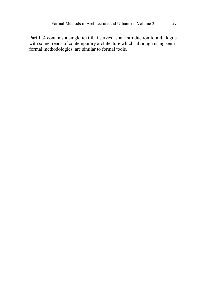Part II.4 contains a single text that serves as an introduction to a dialogue with some trends of contemporary architecture which, although using semiformal methodologies, are similar to formal tools.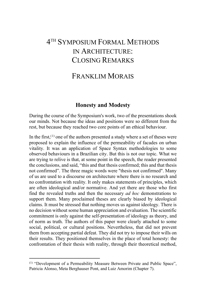# 4TH SYMPOSIUM FORMAL METHODS IN ARCHITECTURE: CLOSING REMARKS

## FRANKLIM MORAIS

### **Honesty and Modesty**

During the course of the Symposium's work, two of the presentations shook our minds. Not because the ideas and positions were so different from the rest, but because they reached two core points of an ethical behaviour.

In the first,  $(1)$  $(1)$  one of the authors presented a study where a set of theses were proposed to explain the influence of the permeability of facades on urban vitality. It was an application of Space Syntax methodologies to some observed behaviours in a Brazilian city. But this is not our topic. What we are trying to relive is that, at some point in the speech, the reader presented the conclusions, and said, "this and that thesis confirmed; this and that thesis not confirmed". The three magic words were "thesis not confirmed". Many of us are used to a discourse on architecture where there is no research and no confrontation with reality. It only makes statements of principles, which are often ideological and/or normative. And yet there are those who first find the revealed truths and then the necessary *ad hoc* demonstrations to support them. Many proclaimed theses are clearly biased by ideological claims. It must be stressed that nothing moves us against ideology. There is no decision without some human appreciation and evaluation. The scientific commitment is only against the self-presentation of ideology as theory, and of norm as truth. The authors of this paper were clearly attached to some social, political, or cultural positions. Nevertheless, that did not prevent them from accepting partial defeat. They did not try to impose their wills on their results. They positioned themselves in the place of total honesty: the confrontation of their thesis with reality, through their theoretical method,

<span id="page-16-0"></span><sup>(1)</sup> "Development of a Permeability Measure Between Private and Public Space", Patricia Alonso, Meta Berghauser Pont, and Luiz Amorim (Chapter 7).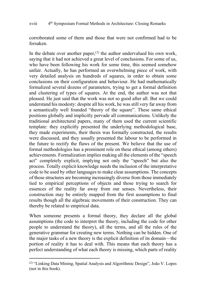corroborated some of them and those that were not confirmed had to be forsaken.

In the debate over another paper,<sup> $(2)$  $(2)$  $(2)$ </sup> the author undervalued his own work, saying that it had not achieved a great level of conclusions. For some of us, who have been following his work for some time, this seemed somehow unfair. Actually, he has performed an overwhelming piece of work, with very detailed analysis on hundreds of squares, in order to obtain some conclusions on their configuration and behaviour. He had mathematically formalized several dozens of parameters, trying to get a formal definition and clustering of types of squares. At the end, the author was not that pleased. He just said that the work was not so good after all. But we could understand his modesty: despite all his work, he was still very far away from a semantically well founded "theory of the square". These same ethical positions globally and implicitly pervade all communications. Unlikely the traditional architectural papers, many of them used the current scientific template: they explicitly presented the underlying methodological base, they made experiments, their thesis was formally constructed, the results were discussed, and they usually presented the labour to be performed in the future to rectify the flaws of the present. We believe that the use of formal methodologies has a prominent role on these ethical (among others) achievements. Formalization implies making all the elements of the "speech act" completely explicit, implying not only the "speech" but also the process. Totally explicit knowledge needs the inclusion of the interpretative code to be used by other languages to make clear assumptions. The concepts of those structures are becoming increasingly diverse from those immediately tied to empirical perceptions of objects and those trying to search for essences of the reality far away from our senses. Nevertheless, their construction may be entirely mapped from the first assumptions to final results though all the algebraic movements of their construction. They can thereby be related to empirical data.

When someone presents a formal theory, they declare all the global assumptions (the code to interpret the theory, including the code for other people to understand the theory), all the terms, and all the rules of the generative grammar for creating new terms. Nothing can be hidden. One of the major tasks of a new theory is the explicit definition of its domain––the portion of reality it has to deal with. This means that each theory has a perfect understanding of what each theory is missing, which parts of reality

<span id="page-17-0"></span><sup>(2)</sup> "Linking Data Mining, Spatial Analysis and Algorithmic Design", João V. Lopes (not in this book).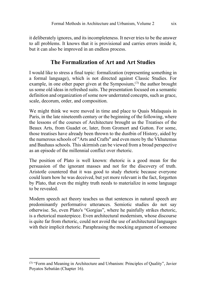it deliberately ignores, and its incompleteness. It never tries to be the answer to all problems. It knows that it is provisional and carries errors inside it, but it can also be improved in an endless process.

### **The Formalization of Art and Art Studies**

I would like to stress a final topic: formalization (representing something in a formal language), which is not directed against Classic Studies. For example, in one other paper given at the Symposium, $(3)$  $(3)$  the author brought us some old ideas in refreshed suits. The presentation focused on a semantic definition and organization of some now underrated concepts, such as grace, scale, decorum, order, and composition.

We might think we were moved in time and place to Quais Malaquais in Paris, in the late nineteenth century or the beginning of the following, where the lessons of the courses of Architecture brought us the Treatises of the Beaux Arts, from Guadet or, later, from Gromort and Gutton. For some, those treatises have already been thrown to the dustbin of History, aided by the numerous schools of "Arts and Crafts" and even more by the Vkhutemas and Bauhaus schools. This skirmish can be viewed from a broad perspective as an episode of the millennial conflict over rhetoric.

The position of Plato is well known: rhetoric is a good mean for the persuasion of the ignorant masses and not for the discovery of truth. Aristotle countered that it was good to study rhetoric because everyone could learn how he was deceived, but yet more relevant is the fact, forgotten by Plato, that even the mighty truth needs to materialize in some language to be revealed.

Modern speech act theory teaches us that sentences in natural speech are predominantly performative utterances. Semiotic studies do not say otherwise. So, even Plato's "Gorgias", where he painfully strikes rhetoric, is a rhetorical masterpiece. Even architectural modernism, whose discourse is quite far from rhetoric, could not avoid the use of architectural languages with their implicit rhetoric. Paraphrasing the mocking argument of someone

<span id="page-18-0"></span><sup>(3)</sup> "Form and Meaning in Architecture and Urbanism: Principles of Quality", Javier Poyatos Sebatián (Chapter 16).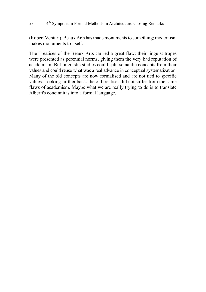#### xx 4<sup>th</sup> Symposium Formal Methods in Architecture: Closing Remarks

(Robert Venturi), Beaux Arts has made monuments to something; modernism makes monuments to itself.

The Treatises of the Beaux Arts carried a great flaw: their linguist tropes were presented as perennial norms, giving them the very bad reputation of academism. But linguistic studies could split semantic concepts from their values and could reuse what was a real advance in conceptual systematization. Many of the old concepts are now formalised and are not tied to specific values. Looking further back, the old treatises did not suffer from the same flaws of academism. Maybe what we are really trying to do is to translate Alberti's concinnitas into a formal language.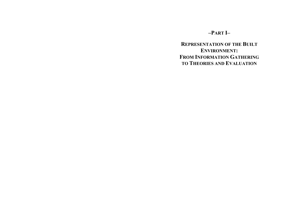# **–PART I–**

# **REPRESENTATION OF THE BUILT ENVIRONMENT:FROM INFORMATION GATHERING TO THEORIES AND EVALUATION**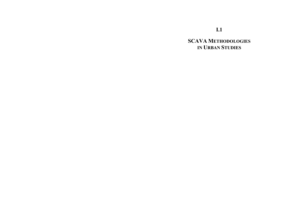# **SCAVA METHODOLOGIES IN URBAN STUDIES**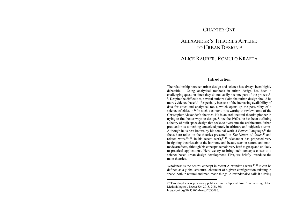### CHAPTER ONE

## ALEXANDER'S THEORIES APPLIED TO URBAN DESIGN<sup>(1)</sup>

### ALICE RAUBER, ROMULO KRAFTA

### **Introduction**

The relationship between urban design and science has always been highly debatable1-4. Using analytical methods in urban design has been a challenging question since they do not easily become part of the process.<sup>5–</sup> <sup>6</sup>. Despite the difficulties, several authors claim that urban design should be more evidence-based,<sup> $7-10$ </sup> especially because of the increasing availability of data for cities and analytical tools, which opens up the possibility of a science of cities.<sup>11, 12</sup> In such a context, it is worthy to review some of the Christopher Alexander's theories. He is an architectural theorist pioneer in trying to find better ways to design. Since the 1960s, he has been outlining a theory of built space design that seeks to overcome the architectural/urban production as something conceived purely in arbitrary and subjective terms. Although he is best known by his seminal work *A Pattern* Language,13 the focus here relies on the theories presented in *The Nature of Order,*14 and related work.<sup>15, 16</sup> In his recent work,<sup>14-16</sup> Alexander has proposed very instigating theories about the harmony and beauty seen in natural and manmade artefacts, although his concepts remain very hard to grasp and unlikely to practical applications. Here we try to bring such concepts closer to a science-based urban design development. First, we briefly introduce the main theories.

Wholeness is the central concept in recent Alexander's work.<sup>14-16</sup> It can be defined as a global structural character of a given configuration existing in space, both in natural and man-made things. Alexander also calls it a living

<sup>(1)</sup> This chapter was previously published in the Special Issue "Formalizing Urban Methodologies". *Urban Sci*. 2018, 2(3), 86; https://doi.org/10.3390/urbansci2030086.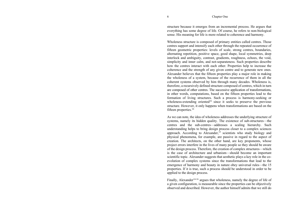#### Chapter One

structure because it emerges from an incremental process. He argues that everything has some degree of life. Of course, he refers to non-biological sense. His meaning for life is more related to coherence and harmony.

Wholeness structure is composed of primary entities called centres. Those centres support and intensify each other through the repeated occurrence of fifteen geometric properties: levels of scale, strong centres, boundaries, alternating repetition, positive space, good shape, local symmetries, deep interlock and ambiguity, contrast, gradients, roughness, echoes, the void, simplicity and inner calm, and not-separateness. Such properties describe how the centres interact with each other. Properties help to increase the coherence and the strength of any given centre and to generate new ones. Alexander believes that the fifteen properties play a major role in making the wholeness of a system, because of the recurrence of them in all the coherent systems observed by him through many decades. Wholeness is, therefore, a recursively defined structure composed of centres, which in turn are composed of other centres. The successive application of transformations, in other words, computations, based on the fifteen properties lead to the formation of living structures. Such a process is harmony-seeking or wholeness-extending oriented<sup>16</sup> since it seeks to preserve the previous structure. However, it only happens when transformations are based on the fifteen properties.<sup>16</sup>

As we can note, the idea of wholeness addresses the underlying structure of systems, namely its hidden quality. The existence of sub-structures––the centres and the sub-centres––addresses a scaling hierarchy. Such understanding helps to bring design process closer to a complex sciences approach. According to Alexander,<sup>15</sup> scientists who study biology and physical phenomena, for example, are passive in regard to the aspect of creation. The architects, on the other hand, are key proponents, whose project errors interfere in the lives of many people so they should be aware of the design process. Therefore, the creation of complex structures––which is the case of architecture and urbanism––should become an important scientific topic. Alexander suggests that aesthetic plays a key role in the coevolution of complex systems since the transformations that lead to the emergence of harmony and beauty in nature obey universal rules––the 15 properties. If it is true, such a process should be understood in order to be applied to the design process.

Finally, Alexander<sup>14-16</sup> argues that wholeness, namely the degree of life of a given configuration, is measurable since the properties can be objectively observed and described. However, the author himself admits that we still do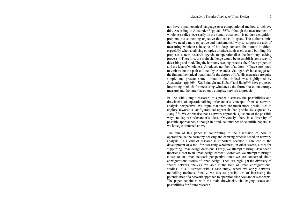not have a mathematical language or a computational method to achieve this. According to Alexander<sup>14</sup> (pp. 364-367), although the measurement of wholeness relies necessarily on the human observer, it is not just a cognition problem, but something objective that exists in space. The author admits that we need a more objective and mathematical way to support the task of measuring wholeness in spite of his deep concern for human intuition, especially when analysing complex artefacts such as cities and building. He proposes a new research agenda to operationalise the harmony-seeking process<sup>16</sup>. Therefore, the main challenge would be to establish some way of describing and modelling the harmony-seeking process, the fifteen properties and the idea of wholeness. A reduced number of authors<sup>17-20</sup> have attempted to embark on the path outlined by Alexander. Salingaros<sup>17</sup> have suggested the first mathematical treatment for the degree of life. His measures are quite simple and present some limitation that indeed was highlighted by Alexander<sup>14</sup> (pp.469-472). Ekinoglu and Kubat<sup>20</sup> and Jiang<sup>18, 19</sup> have proposed interesting methods for measuring wholeness, the former based on entropy measure and the latter based on a complex network approach.

In line with Jiang's research, this paper discusses the possibilities and drawbacks of operationalising Alexander's concepts from a network analysis perspective. We argue that there are much more possibilities to explore towards a configurational approach than previously exposed by Jiang18, 19. We emphasise that a network approach is just one of the possible ways to explore Alexander's ideas. Obviously, there is a diversity of possible approaches, although in a reduced number of scientific papers, as we have just referred above.

The aim of this paper is contributing to the discussion of how to operationalise the harmony-seeking and centring process based on network analysis. This kind of research is important because it can lead to the development of a tool for assessing wholeness, in other words, a tool for supporting urban design decisions. Firstly, we attempt to bring Alexander's theories closer to an urban design context. Moreover, we attempt to bring it closer to an urban network perspective since we are concerned about configurational issues of urban design. Then, we highlight the diversity of spatial network analysis available in the field of urban configurational studies. It is illustrated with a case study, where we apply networkmodelling methods. Finally, we discuss possibilities of increasing the potentialities of a network approach to operationalise Alexander's concepts. The paper concludes with the main drawbacks, challenging issues and possibilities for future research.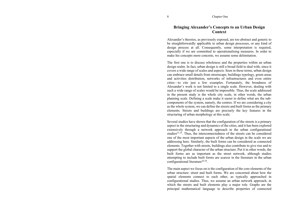### **Bringing Alexander's Concepts to an Urban Design Context**

Alexander's theories, as previously exposed, are too abstract and generic to be straightforwardly applicable to urban design processes, or any kind of design process at all. Consequently, some interpretation is required, especially if we are committed to operationalising measures. In order to make his concepts more concrete, we assume some delimitation.

The first one is to discuss wholeness and the properties within an urban design realm. In fact, urban design is still a broad field to deal with, since it covers a wide range of scales and aspects. Seen in these terms, urban design can embrace small details from streetscape, buildings typology, green areas and activities distribution, networks of infrastructures and even entire cities––to cite just a few examples. Fortunately, the broadness of Alexander's work is not limited to a single scale. However, dealing with such a wide range of scales would be impossible. Thus, the scale addressed in the present study is the whole city scale, in other words, the urban planning scale. Defining a scale make it easier to define what are the subcomponents of the system, namely, the centres. If we are considering a city as the whole system, we can define the streets and built forms as the primary elements. Streets and buildings are precisely the key features in the structuring of urban morphology at this scale.

Several studies have shown that the configuration of the streets is a primary aspect in the structuring and dynamics of the cities, and it has been explored extensively through a network approach in the urban configurational studies<sup>21-25</sup>. Thus, the interconnectedness of the streets can be considered one of the most important aspects of the urban design in the scale we are addressing here. Similarly, the built forms can be considered as connected elements. Together with streets, buildings also contribute to give rise and to support the global character of the urban structure. Put it in other words, the built forms are as important as the street network, although studies attempting to include built forms are scarcer in the literature in the urban configurational literature<sup>26-28</sup>.

The main aspect we focus on is the configuration of the core elements of the urban structure: street and built forms. We are concerned about how the spatial elements connect to each other, as typically approached in configurational studies. Thus, we assume an urban network approach, in which the streets and built elements play a major role. Graphs are the principal mathematical language to describe properties of connected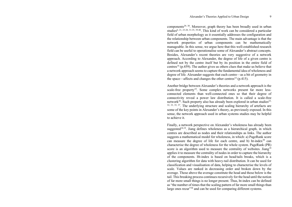components<sup>29, 30</sup>. Moreover, graph theory has been broadly used in urban studies<sup>6, 21, 23-28, 31-35, 39-40</sup>. This kind of work can be considered a particular field of urban morphology as it essentially addresses the configuration and the relationship between urban components. The main advantage is that the network properties of urban components can be mathematically manageable. In this sense, we argue here that this well-established research field can be useful to operationalise some of Alexander's abstract concepts. Besides, Alexander's recent theories are very suggestive of a network approach. According to Alexander, the degree of life of a given centre is defined not by the centre itself but by its position in the entire field of centres<sup>14</sup> (p.459). The author gives us others clues that make us believe that a network approach seems to capture the fundamental idea of wholeness and degree of life. Alexander suggests that each centre––as a bit of geometry in the space—affects and changes the other centres<sup>14</sup> (p.415).

Another bridge between Alexander's theories and a network approach is the scale-free property<sup>19</sup>. Some complex networks present far more lessconnected elements than well-connected ones so that their degree of connectivity reveal a power law distribution. It is called a scale-free network<sup>36</sup>. Such property also has already been explored in urban studies<sup>25,</sup> 32, 33, 35, 37. The underlying structure and scaling hierarchy of artefacts are some of the key points in Alexander's theory, as previously exposed. In this sense, the network approach used in urban systems studies may be helpful to achieve it.

Finally, a network perspective on Alexander's wholeness has already been suggested<sup>18,19</sup>. Jiang defines wholeness as a hierarchical graph, in which centres are described as nodes and their relationships as links. The author suggests a mathematical model for wholeness, in which: a) PageRank score can measure the degree of life for each centre, and b) ht-index<sup>38</sup> can characterise the degree of wholeness for the whole system. PageRank (PR) score is an algorithm used to measure the centrality of websites. Jiang<sup>18</sup> applies it to measure the centrality of nodes in order to capture the hierarchy of the components. Ht-index is based on head/tails breaks, which is a clustering algorithm for data with heavy-tail distribution. It can be used for classification and visualisation of data, helping to characterise the levels of scale. Values are ranked in decreasing order and broken down by the average. Those above the average constitute the head and those below is the tail. This breaking process continues recursively for the head until the notion of far more small things is no longer present. Thus, ht-index can be defined as "the number of times that the scaling pattern of far more small things than large ones recur<sup>38</sup> and can be used for comparing different systems.